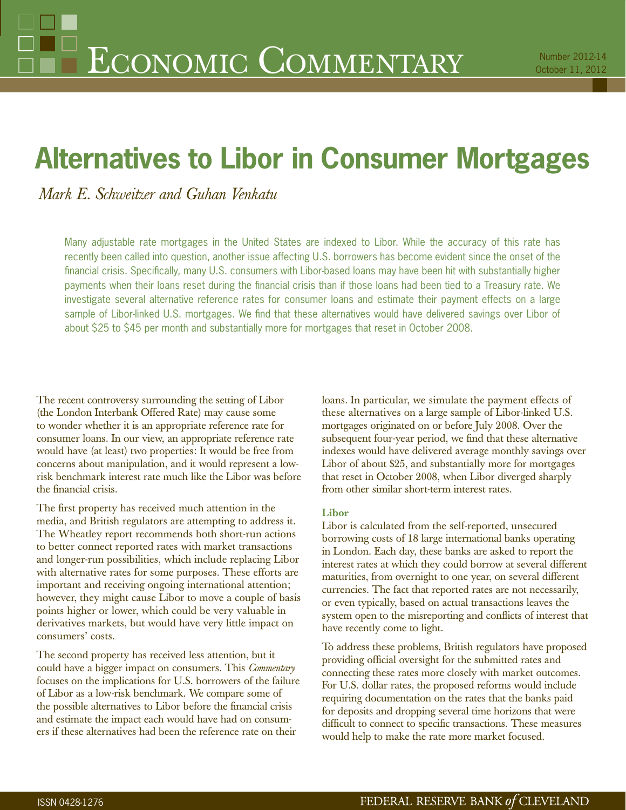# **Alternatives to Libor in Consumer Mortgages**

*Mark E. Schweitzer and Guhan Venkatu*

Many adjustable rate mortgages in the United States are indexed to Libor. While the accuracy of this rate has recently been called into question, another issue affecting U.S. borrowers has become evident since the onset of the financial crisis. Specifically, many U.S. consumers with Libor-based loans may have been hit with substantially higher payments when their loans reset during the financial crisis than if those loans had been tied to a Treasury rate. We investigate several alternative reference rates for consumer loans and estimate their payment effects on a large sample of Libor-linked U.S. mortgages. We find that these alternatives would have delivered savings over Libor of about \$25 to \$45 per month and substantially more for mortgages that reset in October 2008.

The recent controversy surrounding the setting of Libor (the London Interbank Offered Rate) may cause some to wonder whether it is an appropriate reference rate for consumer loans. In our view, an appropriate reference rate would have (at least) two properties: It would be free from concerns about manipulation, and it would represent a lowrisk benchmark interest rate much like the Libor was before the financial crisis.

The first property has received much attention in the media, and British regulators are attempting to address it. The Wheatley report recommends both short-run actions to better connect reported rates with market transactions and longer-run possibilities, which include replacing Libor with alternative rates for some purposes. These efforts are important and receiving ongoing international attention; however, they might cause Libor to move a couple of basis points higher or lower, which could be very valuable in derivatives markets, but would have very little impact on consumers' costs.

The second property has received less attention, but it could have a bigger impact on consumers. This *Commentary* focuses on the implications for U.S. borrowers of the failure of Libor as a low-risk benchmark. We compare some of the possible alternatives to Libor before the financial crisis and estimate the impact each would have had on consumers if these alternatives had been the reference rate on their

loans. In particular, we simulate the payment effects of these alternatives on a large sample of Libor-linked U.S. mortgages originated on or before July 2008. Over the subsequent four-year period, we find that these alternative indexes would have delivered average monthly savings over Libor of about \$25, and substantially more for mortgages that reset in October 2008, when Libor diverged sharply from other similar short-term interest rates.

## **Libor**

Libor is calculated from the self-reported, unsecured borrowing costs of 18 large international banks operating in London. Each day, these banks are asked to report the interest rates at which they could borrow at several different maturities, from overnight to one year, on several different currencies. The fact that reported rates are not necessarily, or even typically, based on actual transactions leaves the system open to the misreporting and conflicts of interest that have recently come to light.

To address these problems, British regulators have proposed providing official oversight for the submitted rates and connecting these rates more closely with market outcomes. For U.S. dollar rates, the proposed reforms would include requiring documentation on the rates that the banks paid for deposits and dropping several time horizons that were difficult to connect to specific transactions. These measures would help to make the rate more market focused.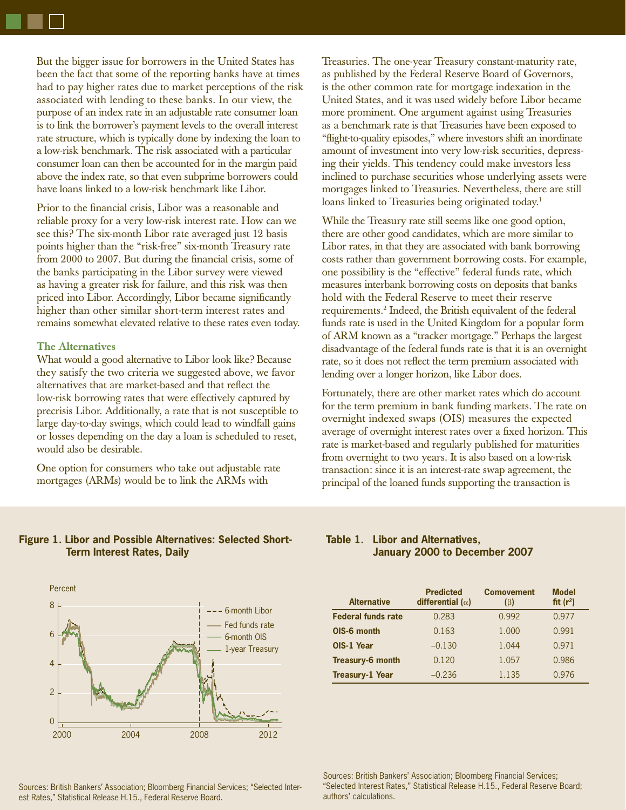But the bigger issue for borrowers in the United States has been the fact that some of the reporting banks have at times had to pay higher rates due to market perceptions of the risk associated with lending to these banks. In our view, the purpose of an index rate in an adjustable rate consumer loan is to link the borrower's payment levels to the overall interest rate structure, which is typically done by indexing the loan to a low-risk benchmark. The risk associated with a particular consumer loan can then be accounted for in the margin paid above the index rate, so that even subprime borrowers could have loans linked to a low-risk benchmark like Libor.

Prior to the financial crisis, Libor was a reasonable and reliable proxy for a very low-risk interest rate. How can we see this? The six-month Libor rate averaged just 12 basis points higher than the "risk-free" six-month Treasury rate from 2000 to 2007. But during the financial crisis, some of the banks participating in the Libor survey were viewed as having a greater risk for failure, and this risk was then priced into Libor. Accordingly, Libor became significantly higher than other similar short-term interest rates and remains somewhat elevated relative to these rates even today.

## **The Alternatives**

What would a good alternative to Libor look like? Because they satisfy the two criteria we suggested above, we favor alternatives that are market-based and that reflect the low-risk borrowing rates that were effectively captured by precrisis Libor. Additionally, a rate that is not susceptible to large day-to-day swings, which could lead to windfall gains or losses depending on the day a loan is scheduled to reset, would also be desirable.

One option for consumers who take out adjustable rate mortgages (ARMs) would be to link the ARMs with

Treasuries. The one-year Treasury constant-maturity rate, as published by the Federal Reserve Board of Governors, is the other common rate for mortgage indexation in the United States, and it was used widely before Libor became more prominent. One argument against using Treasuries as a benchmark rate is that Treasuries have been exposed to "flight-to-quality episodes," where investors shift an inordinate amount of investment into very low-risk securities, depressing their yields. This tendency could make investors less inclined to purchase securities whose underlying assets were mortgages linked to Treasuries. Nevertheless, there are still loans linked to Treasuries being originated today.<sup>1</sup>

While the Treasury rate still seems like one good option, there are other good candidates, which are more similar to Libor rates, in that they are associated with bank borrowing costs rather than government borrowing costs. For example, one possibility is the "effective" federal funds rate, which measures interbank borrowing costs on deposits that banks hold with the Federal Reserve to meet their reserve requirements.2 Indeed, the British equivalent of the federal funds rate is used in the United Kingdom for a popular form of ARM known as a "tracker mortgage." Perhaps the largest disadvantage of the federal funds rate is that it is an overnight rate, so it does not reflect the term premium associated with lending over a longer horizon, like Libor does.

Fortunately, there are other market rates which do account for the term premium in bank funding markets. The rate on overnight indexed swaps (OIS) measures the expected average of overnight interest rates over a fixed horizon. This rate is market-based and regularly published for maturities from overnight to two years. It is also based on a low-risk transaction: since it is an interest-rate swap agreement, the principal of the loaned funds supporting the transaction is

## **Figure 1. Libor and Possible Alternatives: Selected Short-Term Interest Rates, Daily**



Sources: British Bankers' Association; Bloomberg Financial Services; "Selected Interest Rates," Statistical Release H.15., Federal Reserve Board.

# **Table 1. Libor and Alternatives, January 2000 to December 2007**

| <b>Alternative</b>        | <b>Predicted</b><br>differential ( $\alpha$ ) | <b>Comovement</b><br>$(\beta)$ | <b>Model</b><br>fit $(r^2)$ |
|---------------------------|-----------------------------------------------|--------------------------------|-----------------------------|
| <b>Federal funds rate</b> | 0.283                                         | 0.992                          | 0.977                       |
| OIS-6 month               | 0.163                                         | 1.000                          | 0.991                       |
| OIS-1 Year                | $-0.130$                                      | 1.044                          | 0.971                       |
| <b>Treasury-6 month</b>   | 0.120                                         | 1.057                          | 0.986                       |
| <b>Treasury-1 Year</b>    | $-0.236$                                      | 1.135                          | 0.976                       |

Sources: British Bankers' Association; Bloomberg Financial Services; "Selected Interest Rates," Statistical Release H.15., Federal Reserve Board; authors' calculations.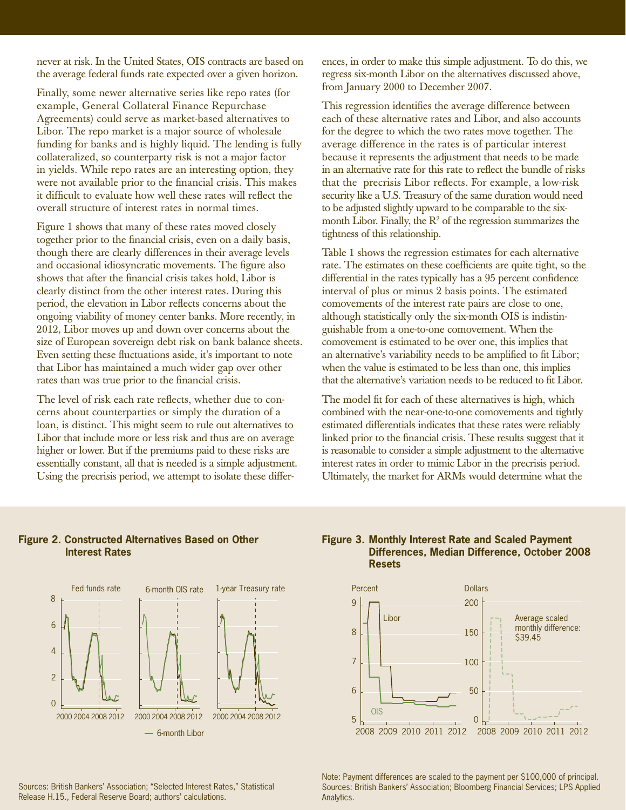never at risk. In the United States, OIS contracts are based on the average federal funds rate expected over a given horizon.

Finally, some newer alternative series like repo rates (for example, General Collateral Finance Repurchase Agreements) could serve as market-based alternatives to Libor. The repo market is a major source of wholesale funding for banks and is highly liquid. The lending is fully collateralized, so counterparty risk is not a major factor in yields. While repo rates are an interesting option, they were not available prior to the financial crisis. This makes it difficult to evaluate how well these rates will reflect the overall structure of interest rates in normal times.

Figure 1 shows that many of these rates moved closely together prior to the financial crisis, even on a daily basis, though there are clearly differences in their average levels and occasional idiosyncratic movements. The figure also shows that after the financial crisis takes hold. Libor is clearly distinct from the other interest rates. During this period, the elevation in Libor reflects concerns about the ongoing viability of money center banks. More recently, in 2012, Libor moves up and down over concerns about the size of European sovereign debt risk on bank balance sheets. Even setting these fluctuations aside, it's important to note that Libor has maintained a much wider gap over other rates than was true prior to the financial crisis.

The level of risk each rate reflects, whether due to concerns about counterparties or simply the duration of a loan, is distinct. This might seem to rule out alternatives to Libor that include more or less risk and thus are on average higher or lower. But if the premiums paid to these risks are essentially constant, all that is needed is a simple adjustment. Using the precrisis period, we attempt to isolate these differences, in order to make this simple adjustment. To do this, we regress six-month Libor on the alternatives discussed above, from January 2000 to December 2007.

This regression identifies the average difference between each of these alternative rates and Libor, and also accounts for the degree to which the two rates move together. The average difference in the rates is of particular interest because it represents the adjustment that needs to be made in an alternative rate for this rate to reflect the bundle of risks that the precrisis Libor reflects. For example, a low-risk security like a U.S. Treasury of the same duration would need to be adjusted slightly upward to be comparable to the sixmonth Libor. Finally, the  $\mathbb{R}^2$  of the regression summarizes the tightness of this relationship.

Table 1 shows the regression estimates for each alternative rate. The estimates on these coefficients are quite tight, so the differential in the rates typically has a 95 percent confidence interval of plus or minus 2 basis points. The estimated comovements of the interest rate pairs are close to one, although statistically only the six-month OIS is indistinguishable from a one-to-one comovement. When the comovement is estimated to be over one, this implies that an alternative's variability needs to be amplified to fit Libor; when the value is estimated to be less than one, this implies that the alternative's variation needs to be reduced to fit Libor.

The model fit for each of these alternatives is high, which combined with the near-one-to-one comovements and tightly estimated differentials indicates that these rates were reliably linked prior to the financial crisis. These results suggest that it is reasonable to consider a simple adjustment to the alternative interest rates in order to mimic Libor in the precrisis period. Ultimately, the market for ARMs would determine what the

## **Figure 2. Constructed Alternatives Based on Other Interest Rates**



#### Sources: British Bankers' Association; "Selected Interest Rates," Statistical Release H.15., Federal Reserve Board; authors' calculations.

# **Figure 3. Monthly Interest Rate and Scaled Payment Differences, Median Difference, October 2008 Resets**



Note: Payment differences are scaled to the payment per \$100,000 of principal. Sources: British Bankers' Association; Bloomberg Financial Services; LPS Applied Analytics.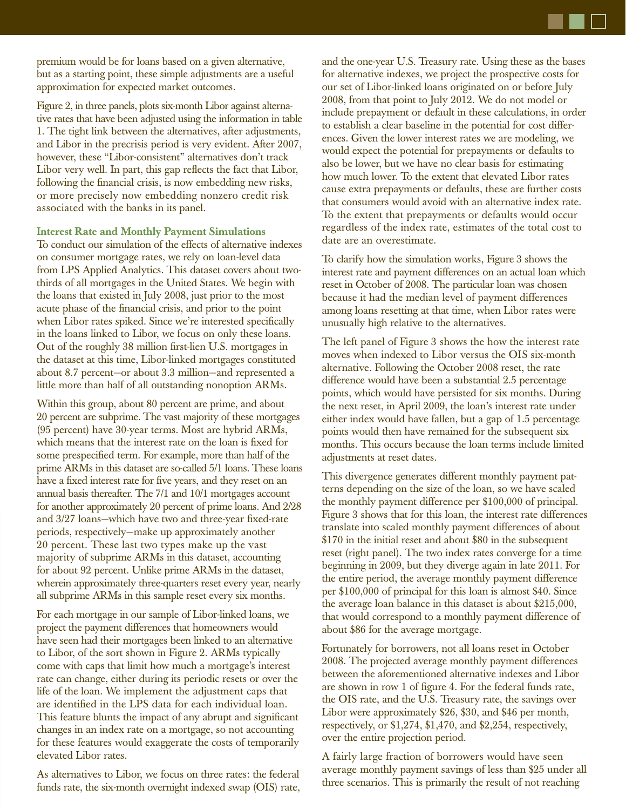

premium would be for loans based on a given alternative, but as a starting point, these simple adjustments are a useful approximation for expected market outcomes.

Figure 2, in three panels, plots six-month Libor against alternative rates that have been adjusted using the information in table 1. The tight link between the alternatives, after adjustments, and Libor in the precrisis period is very evident. After 2007, however, these "Libor-consistent" alternatives don't track Libor very well. In part, this gap reflects the fact that Libor, following the financial crisis, is now embedding new risks, or more precisely now embedding nonzero credit risk associated with the banks in its panel.

#### **Interest Rate and Monthly Payment Simulations**

To conduct our simulation of the effects of alternative indexes on consumer mortgage rates, we rely on loan-level data from LPS Applied Analytics. This dataset covers about twothirds of all mortgages in the United States. We begin with the loans that existed in July 2008, just prior to the most acute phase of the financial crisis, and prior to the point when Libor rates spiked. Since we're interested specifically in the loans linked to Libor, we focus on only these loans. Out of the roughly 38 million first-lien U.S. mortgages in the dataset at this time, Libor-linked mortgages constituted about 8.7 percent—or about 3.3 million—and represented a little more than half of all outstanding nonoption ARMs.

Within this group, about 80 percent are prime, and about 20 percent are subprime. The vast majority of these mortgages (95 percent) have 30-year terms. Most are hybrid ARMs, which means that the interest rate on the loan is fixed for some prespecified term. For example, more than half of the prime ARMs in this dataset are so-called 5/1 loans. These loans have a fixed interest rate for five years, and they reset on an annual basis thereafter. The 7/1 and 10/1 mortgages account for another approximately 20 percent of prime loans. And 2/28 and 3/27 loans-which have two and three-year fixed-rate periods, respectively—make up approximately another 20 percent. These last two types make up the vast majority of subprime ARMs in this dataset, accounting for about 92 percent. Unlike prime ARMs in the dataset, wherein approximately three-quarters reset every year, nearly all subprime ARMs in this sample reset every six months.

For each mortgage in our sample of Libor-linked loans, we project the payment differences that homeowners would have seen had their mortgages been linked to an alternative to Libor, of the sort shown in Figure 2. ARMs typically come with caps that limit how much a mortgage's interest rate can change, either during its periodic resets or over the life of the loan. We implement the adjustment caps that are identified in the LPS data for each individual loan. This feature blunts the impact of any abrupt and significant changes in an index rate on a mortgage, so not accounting for these features would exaggerate the costs of temporarily elevated Libor rates.

As alternatives to Libor, we focus on three rates: the federal funds rate, the six-month overnight indexed swap (OIS) rate, and the one-year U.S. Treasury rate. Using these as the bases for alternative indexes, we project the prospective costs for our set of Libor-linked loans originated on or before July 2008, from that point to July 2012. We do not model or include prepayment or default in these calculations, in order to establish a clear baseline in the potential for cost differences. Given the lower interest rates we are modeling, we would expect the potential for prepayments or defaults to also be lower, but we have no clear basis for estimating how much lower. To the extent that elevated Libor rates cause extra prepayments or defaults, these are further costs that consumers would avoid with an alternative index rate. To the extent that prepayments or defaults would occur regardless of the index rate, estimates of the total cost to date are an overestimate.

To clarify how the simulation works, Figure 3 shows the interest rate and payment differences on an actual loan which reset in October of 2008. The particular loan was chosen because it had the median level of payment differences among loans resetting at that time, when Libor rates were unusually high relative to the alternatives.

The left panel of Figure 3 shows the how the interest rate moves when indexed to Libor versus the OIS six-month alternative. Following the October 2008 reset, the rate difference would have been a substantial 2.5 percentage points, which would have persisted for six months. During the next reset, in April 2009, the loan's interest rate under either index would have fallen, but a gap of 1.5 percentage points would then have remained for the subsequent six months. This occurs because the loan terms include limited adjustments at reset dates.

This divergence generates different monthly payment patterns depending on the size of the loan, so we have scaled the monthly payment difference per \$100,000 of principal. Figure 3 shows that for this loan, the interest rate differences translate into scaled monthly payment differences of about \$170 in the initial reset and about \$80 in the subsequent reset (right panel). The two index rates converge for a time beginning in 2009, but they diverge again in late 2011. For the entire period, the average monthly payment difference per \$100,000 of principal for this loan is almost \$40. Since the average loan balance in this dataset is about \$215,000, that would correspond to a monthly payment difference of about \$86 for the average mortgage.

Fortunately for borrowers, not all loans reset in October 2008. The projected average monthly payment differences between the aforementioned alternative indexes and Libor are shown in row 1 of figure 4. For the federal funds rate, the OIS rate, and the U.S. Treasury rate, the savings over Libor were approximately \$26, \$30, and \$46 per month, respectively, or \$1,274, \$1,470, and \$2,254, respectively, over the entire projection period.

A fairly large fraction of borrowers would have seen average monthly payment savings of less than \$25 under all three scenarios. This is primarily the result of not reaching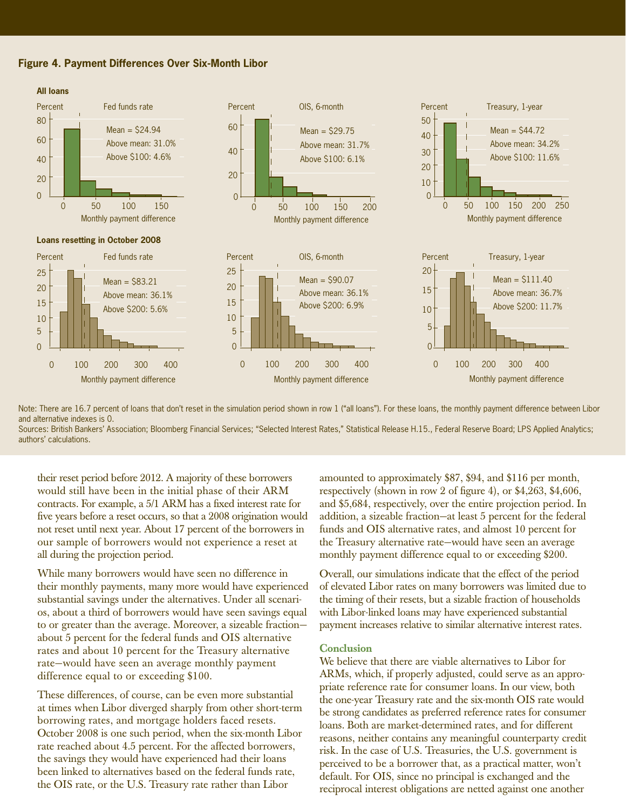



Note: There are 16.7 percent of loans that don't reset in the simulation period shown in row 1 ("all loans"). For these loans, the monthly payment difference between Libor and alternative indexes is 0. Sources: British Bankers' Association; Bloomberg Financial Services; "Selected Interest Rates," Statistical Release H.15., Federal Reserve Board; LPS Applied Analytics;

authors' calculations.

their reset period before 2012. A majority of these borrowers would still have been in the initial phase of their ARM contracts. For example, a 5/1 ARM has a fixed interest rate for five years before a reset occurs, so that a 2008 origination would not reset until next year. About 17 percent of the borrowers in our sample of borrowers would not experience a reset at all during the projection period.

While many borrowers would have seen no difference in their monthly payments, many more would have experienced substantial savings under the alternatives. Under all scenarios, about a third of borrowers would have seen savings equal to or greater than the average. Moreover, a sizeable fraction about 5 percent for the federal funds and OIS alternative rates and about 10 percent for the Treasury alternative rate—would have seen an average monthly payment difference equal to or exceeding \$100.

These differences, of course, can be even more substantial at times when Libor diverged sharply from other short-term borrowing rates, and mortgage holders faced resets. October 2008 is one such period, when the six-month Libor rate reached about 4.5 percent. For the affected borrowers, the savings they would have experienced had their loans been linked to alternatives based on the federal funds rate, the OIS rate, or the U.S. Treasury rate rather than Libor

amounted to approximately \$87, \$94, and \$116 per month, respectively (shown in row 2 of figure 4), or  $$4,263, $4,606$ , and \$5,684, respectively, over the entire projection period. In addition, a sizeable fraction—at least 5 percent for the federal funds and OIS alternative rates, and almost 10 percent for the Treasury alternative rate—would have seen an average monthly payment difference equal to or exceeding \$200.

Overall, our simulations indicate that the effect of the period of elevated Libor rates on many borrowers was limited due to the timing of their resets, but a sizable fraction of households with Libor-linked loans may have experienced substantial payment increases relative to similar alternative interest rates.

# **Conclusion**

We believe that there are viable alternatives to Libor for ARMs, which, if properly adjusted, could serve as an appropriate reference rate for consumer loans. In our view, both the one-year Treasury rate and the six-month OIS rate would be strong candidates as preferred reference rates for consumer loans. Both are market-determined rates, and for different reasons, neither contains any meaningful counterparty credit risk. In the case of U.S. Treasuries, the U.S. government is perceived to be a borrower that, as a practical matter, won't default. For OIS, since no principal is exchanged and the reciprocal interest obligations are netted against one another